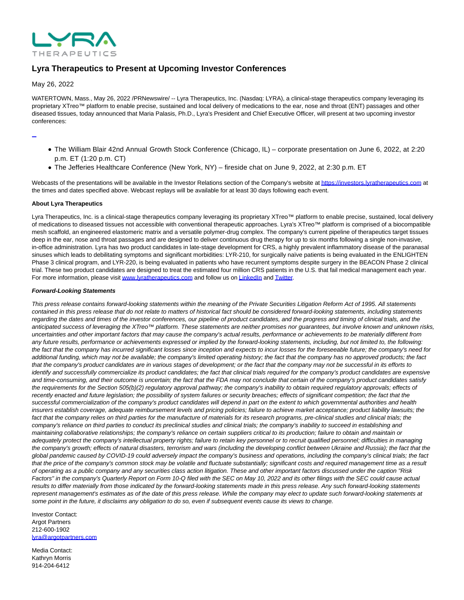

## **Lyra Therapeutics to Present at Upcoming Investor Conferences**

May 26, 2022

WATERTOWN, Mass., May 26, 2022 /PRNewswire/ -- Lyra Therapeutics, Inc. (Nasdaq: LYRA), a clinical-stage therapeutics company leveraging its proprietary XTreo™ platform to enable precise, sustained and local delivery of medications to the ear, nose and throat (ENT) passages and other diseased tissues, today announced that Maria Palasis, Ph.D., Lyra's President and Chief Executive Officer, will present at two upcoming investor conferences:

L

- The William Blair 42nd Annual Growth Stock Conference (Chicago, IL) corporate presentation on June 6, 2022, at 2:20 p.m. ET (1:20 p.m. CT)
- The Jefferies Healthcare Conference (New York, NY) fireside chat on June 9, 2022, at 2:30 p.m. ET

Webcasts of the presentations will be available in the Investor Relations section of the Company's website a[t https://investors.lyratherapeutics.com a](https://c212.net/c/link/?t=0&l=en&o=3548478-1&h=3899733657&u=https%3A%2F%2Finvestors.lyratherapeutics.com%2F&a=https%3A%2F%2Finvestors.lyratherapeutics.com)t the times and dates specified above. Webcast replays will be available for at least 30 days following each event.

## **About Lyra Therapeutics**

Lyra Therapeutics, Inc. is a clinical-stage therapeutics company leveraging its proprietary XTreo™ platform to enable precise, sustained, local delivery of medications to diseased tissues not accessible with conventional therapeutic approaches. Lyra's XTreo™ platform is comprised of a biocompatible mesh scaffold, an engineered elastomeric matrix and a versatile polymer-drug complex. The company's current pipeline of therapeutics target tissues deep in the ear, nose and throat passages and are designed to deliver continuous drug therapy for up to six months following a single non-invasive, in-office administration. Lyra has two product candidates in late-stage development for CRS, a highly prevalent inflammatory disease of the paranasal sinuses which leads to debilitating symptoms and significant morbidities: LYR-210, for surgically naïve patients is being evaluated in the ENLIGHTEN Phase 3 clinical program, and LYR-220, is being evaluated in patients who have recurrent symptoms despite surgery in the BEACON Phase 2 clinical trial. These two product candidates are designed to treat the estimated four million CRS patients in the U.S. that fail medical management each year. For more information, please visi[t www.lyratherapeutics.com a](http://www.lyratherapeutics.com/)nd follow us o[n LinkedIn a](https://c212.net/c/link/?t=0&l=en&o=3548478-1&h=3781280012&u=https%3A%2F%2Fwww.linkedin.com%2Fcompany%2Flyra-therapeutics%2F&a=LinkedIn)n[d Twitter.](https://c212.net/c/link/?t=0&l=en&o=3548478-1&h=3173756487&u=https%3A%2F%2Ftwitter.com%2FLyraTx&a=Twitter)

## **Forward-Looking Statements**

This press release contains forward-looking statements within the meaning of the Private Securities Litigation Reform Act of 1995. All statements contained in this press release that do not relate to matters of historical fact should be considered forward-looking statements, including statements regarding the dates and times of the investor conferences, our pipeline of product candidates, and the progress and timing of clinical trials, and the anticipated success of leveraging the XTreo™ platform. These statements are neither promises nor guarantees, but involve known and unknown risks, uncertainties and other important factors that may cause the company's actual results, performance or achievements to be materially different from any future results, performance or achievements expressed or implied by the forward-looking statements, including, but not limited to, the following: the fact that the company has incurred significant losses since inception and expects to incur losses for the foreseeable future; the company's need for additional funding, which may not be available; the company's limited operating history; the fact that the company has no approved products; the fact that the company's product candidates are in various stages of development; or the fact that the company may not be successful in its efforts to identify and successfully commercialize its product candidates; the fact that clinical trials required for the company's product candidates are expensive and time-consuming, and their outcome is uncertain; the fact that the FDA may not conclude that certain of the company's product candidates satisfy the requirements for the Section 505(b)(2) regulatory approval pathway; the company's inability to obtain required regulatory approvals; effects of recently enacted and future legislation; the possibility of system failures or security breaches; effects of significant competition; the fact that the successful commercialization of the company's product candidates will depend in part on the extent to which governmental authorities and health insurers establish coverage, adequate reimbursement levels and pricing policies; failure to achieve market acceptance; product liability lawsuits; the fact that the company relies on third parties for the manufacture of materials for its research programs, pre-clinical studies and clinical trials; the company's reliance on third parties to conduct its preclinical studies and clinical trials; the company's inability to succeed in establishing and maintaining collaborative relationships; the company's reliance on certain suppliers critical to its production; failure to obtain and maintain or adequately protect the company's intellectual property rights; failure to retain key personnel or to recruit qualified personnel; difficulties in managing the company's growth; effects of natural disasters, terrorism and wars (including the developing conflict between Ukraine and Russia); the fact that the global pandemic caused by COVID-19 could adversely impact the company's business and operations, including the company's clinical trials; the fact that the price of the company's common stock may be volatile and fluctuate substantially; significant costs and required management time as a result of operating as a public company and any securities class action litigation. These and other important factors discussed under the caption "Risk Factors" in the company's Quarterly Report on Form 10-Q filed with the SEC on May 10, 2022 and its other filings with the SEC could cause actual results to differ materially from those indicated by the forward-looking statements made in this press release. Any such forward-looking statements represent management's estimates as of the date of this press release. While the company may elect to update such forward-looking statements at some point in the future, it disclaims any obligation to do so, even if subsequent events cause its views to change.

Investor Contact: Argot Partners 212-600-1902 [lyra@argotpartners.com](mailto:lyra@argotpartners.com)

Media Contact: Kathryn Morris 914-204-6412